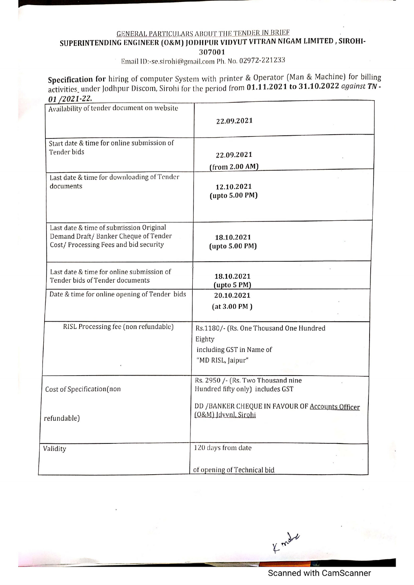## GENERAL PARTICULARS ABOU'T THE TENDER IN BRIEF ; SUPERINTENDING ENGINEER (O&M) JODHPUR VIDYUT VITRAN NIGAM LIMITED , SIROHI-307001

ee ee de beste gewone de beste gewone van de beste gewone van de beste gewone van de verdere van de verdere va<br>De verdere van de verdere van de verdere van de verdere van de verdere van de verdere van de verdere van de ve

|                                                                                                                           | <b>GENERAL PARTICULARS ABOUT THE TENDER IN BRIEF</b><br>SUPERINTENDING ENGINEER (O&M) JODHPUR VIDYUT VITRAN NIGAM LIMITED, SIROHI-<br>307001                                                     |
|---------------------------------------------------------------------------------------------------------------------------|--------------------------------------------------------------------------------------------------------------------------------------------------------------------------------------------------|
|                                                                                                                           | Email ID:-se.sirohi@gmail.com Ph. No. 02972-221233                                                                                                                                               |
| 01/2021-22.                                                                                                               | Specification for hiring of computer System with printer & Operator (Man & Machine) for billi<br>activities_under Jodhpur Discom, Sirohi for the period from 01.11.2021 to 31.10.2022 against T. |
| Availability of tender document on website                                                                                | 22.09.2021                                                                                                                                                                                       |
| Start date & time for online submission of<br>Tender bids                                                                 | 22.09.2021<br>(from 2.00 AM)                                                                                                                                                                     |
| Last date & time for downloading of Tender<br>documents                                                                   | 12.10.2021<br>(upto 5.00 PM)                                                                                                                                                                     |
| Last date & time of submission Original<br>Demand Draft/ Banker Cheque of Tender<br>Cost/Processing Fees and bid security | 18.10.2021<br>(upto 5.00 PM)                                                                                                                                                                     |
| Last date & time for online submission of<br>Tender bids of Tender documents                                              | 18.10.2021<br>(upto 5 PM)                                                                                                                                                                        |
| Date & time for online opening of Tender bids                                                                             | 20.10.2021<br>(at 3.00 PM)                                                                                                                                                                       |
| RISL Processing fee (non refundable)                                                                                      | Rs.1180/- (Rs. One Thousand One Hundred<br>Eighty<br>including GST in Name of<br>"MD RISL, Jaipur"                                                                                               |
| Cost of Specification(non                                                                                                 | Rs. 2950 /- (Rs. Two Thousand nine<br>Hundred fifty only) includes GST                                                                                                                           |
| refundable)                                                                                                               | DD / BANKER CHEQUE IN FAVOUR OF Accounts Officer<br>(O&M) Idvvnl, Sirohi                                                                                                                         |
| Validity                                                                                                                  | 120 days from date                                                                                                                                                                               |
|                                                                                                                           | of opening of Technical bid                                                                                                                                                                      |
|                                                                                                                           |                                                                                                                                                                                                  |
|                                                                                                                           | of mat                                                                                                                                                                                           |
|                                                                                                                           |                                                                                                                                                                                                  |
|                                                                                                                           | <b>Scanned with CamScanner</b>                                                                                                                                                                   |